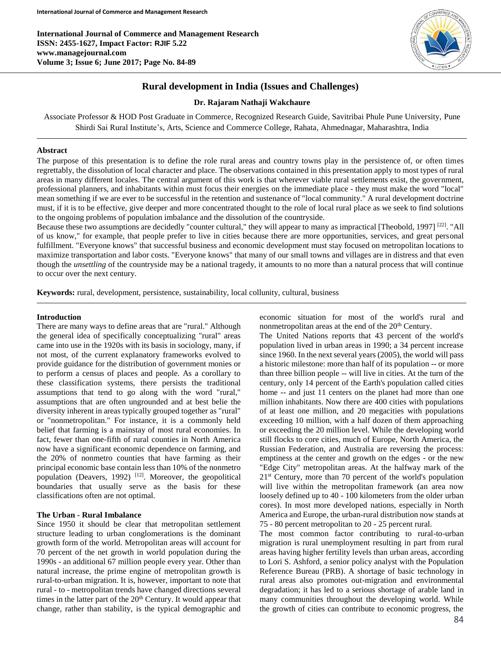**International Journal of Commerce and Management Research ISSN: 2455-1627, Impact Factor: RJIF 5.22 www.managejournal.com Volume 3; Issue 6; June 2017; Page No. 84-89**



# **Rural development in India (Issues and Challenges)**

#### **Dr. Rajaram Nathaji Wakchaure**

Associate Professor & HOD Post Graduate in Commerce, Recognized Research Guide, Savitribai Phule Pune University, Pune Shirdi Sai Rural Institute's, Arts, Science and Commerce College, Rahata, Ahmednagar, Maharashtra, India

#### **Abstract**

The purpose of this presentation is to define the role rural areas and country towns play in the persistence of, or often times regrettably, the dissolution of local character and place. The observations contained in this presentation apply to most types of rural areas in many different locales. The central argument of this work is that wherever viable rural settlements exist, the government, professional planners, and inhabitants within must focus their energies on the immediate place - they must make the word "local" mean something if we are ever to be successful in the retention and sustenance of "local community." A rural development doctrine must, if it is to be effective, give deeper and more concentrated thought to the role of local rural place as we seek to find solutions to the ongoing problems of population imbalance and the dissolution of the countryside.

Because these two assumptions are decidedly "counter cultural," they will appear to many as impractical [Theobold, 1997]  $[22]$ . "All of us know," for example, that people prefer to live in cities because there are more opportunities, services, and great personal fulfillment. "Everyone knows" that successful business and economic development must stay focused on metropolitan locations to maximize transportation and labor costs. "Everyone knows" that many of our small towns and villages are in distress and that even though the *unsettling* of the countryside may be a national tragedy, it amounts to no more than a natural process that will continue to occur over the next century.

**Keywords:** rural, development, persistence, sustainability, local collunity, cultural, business

#### **Introduction**

There are many ways to define areas that are "rural." Although the general idea of specifically conceptualizing "rural" areas came into use in the 1920s with its basis in sociology, many, if not most, of the current explanatory frameworks evolved to provide guidance for the distribution of government monies or to perform a census of places and people. As a corollary to these classification systems, there persists the traditional assumptions that tend to go along with the word "rural," assumptions that are often ungrounded and at best belie the diversity inherent in areas typically grouped together as "rural" or "nonmetropolitan." For instance, it is a commonly held belief that farming is a mainstay of most rural economies. In fact, fewer than one-fifth of rural counties in North America now have a significant economic dependence on farming, and the 20% of nonmetro counties that have farming as their principal economic base contain less than 10% of the nonmetro population (Deavers, 1992)<sup>[12]</sup>. Moreover, the geopolitical boundaries that usually serve as the basis for these classifications often are not optimal.

#### **The Urban - Rural Imbalance**

Since 1950 it should be clear that metropolitan settlement structure leading to urban conglomerations is the dominant growth form of the world. Metropolitan areas will account for 70 percent of the net growth in world population during the 1990s - an additional 67 million people every year. Other than natural increase, the prime engine of metropolitan growth is rural-to-urban migration. It is, however, important to note that rural - to - metropolitan trends have changed directions several times in the latter part of the  $20<sup>th</sup>$  Century. It would appear that change, rather than stability, is the typical demographic and economic situation for most of the world's rural and nonmetropolitan areas at the end of the  $20<sup>th</sup>$  Century.

The United Nations reports that 43 percent of the world's population lived in urban areas in 1990; a 34 percent increase since 1960. In the next several years (2005), the world will pass a historic milestone: more than half of its population -- or more than three billion people -- will live in cities. At the turn of the century, only 14 percent of the Earth's population called cities home -- and just 11 centers on the planet had more than one million inhabitants. Now there are 400 cities with populations of at least one million, and 20 megacities with populations exceeding 10 million, with a half dozen of them approaching or exceeding the 20 million level. While the developing world still flocks to core cities, much of Europe, North America, the Russian Federation, and Australia are reversing the process: emptiness at the center and growth on the edges - or the new "Edge City" metropolitan areas. At the halfway mark of the 21st Century, more than 70 percent of the world's population will live within the metropolitan framework (an area now loosely defined up to 40 - 100 kilometers from the older urban cores). In most more developed nations, especially in North America and Europe, the urban-rural distribution now stands at 75 - 80 percent metropolitan to 20 - 25 percent rural.

The most common factor contributing to rural-to-urban migration is rural unemployment resulting in part from rural areas having higher fertility levels than urban areas, according to Lori S. Ashford, a senior policy analyst with the Population Reference Bureau (PRB). A shortage of basic technology in rural areas also promotes out-migration and environmental degradation; it has led to a serious shortage of arable land in many communities throughout the developing world. While the growth of cities can contribute to economic progress, the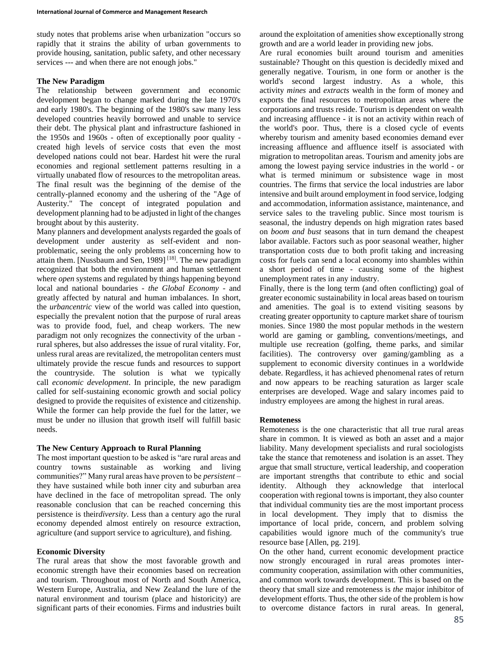study notes that problems arise when urbanization "occurs so rapidly that it strains the ability of urban governments to provide housing, sanitation, public safety, and other necessary services --- and when there are not enough jobs."

## **The New Paradigm**

The relationship between government and economic development began to change marked during the late 1970's and early 1980's. The beginning of the 1980's saw many less developed countries heavily borrowed and unable to service their debt. The physical plant and infrastructure fashioned in the 1950s and 1960s - often of exceptionally poor quality created high levels of service costs that even the most developed nations could not bear. Hardest hit were the rural economies and regional settlement patterns resulting in a virtually unabated flow of resources to the metropolitan areas. The final result was the beginning of the demise of the centrally-planned economy and the ushering of the "Age of Austerity." The concept of integrated population and development planning had to be adjusted in light of the changes brought about by this austerity.

Many planners and development analysts regarded the goals of development under austerity as self-evident and nonproblematic, seeing the only problems as concerning how to attain them. [Nussbaum and Sen, 1989]<sup>[18]</sup>. The new paradigm recognized that both the environment and human settlement where *open* systems and regulated by things happening beyond local and national boundaries - *the Global Economy* - and greatly affected by natural and human imbalances. In short, the *urbancentric* view of the world was called into question, especially the prevalent notion that the purpose of rural areas was to provide food, fuel, and cheap workers. The new paradigm not only recognizes the connectivity of the urban rural spheres, but also addresses the issue of rural vitality. For, unless rural areas are revitalized, the metropolitan centers must ultimately provide the rescue funds and resources to support the countryside. The solution is what we typically call *economic development*. In principle, the new paradigm called for self-sustaining economic growth and social policy designed to provide the requisites of existence and citizenship. While the former can help provide the fuel for the latter, we must be under no illusion that growth itself will fulfill basic needs.

## **The New Century Approach to Rural Planning**

The most important question to be asked is "are rural areas and country towns sustainable as working and living communities?" Many rural areas have proven to be *persistent* – they have sustained while both inner city and suburban area have declined in the face of metropolitan spread. The only reasonable conclusion that can be reached concerning this persistence is their*diversity*. Less than a century ago the rural economy depended almost entirely on resource extraction, agriculture (and support service to agriculture), and fishing.

## **Economic Diversity**

The rural areas that show the most favorable growth and economic strength have their economies based on recreation and tourism. Throughout most of North and South America, Western Europe, Australia, and New Zealand the lure of the natural environment and tourism (place and historicity) are significant parts of their economies. Firms and industries built around the exploitation of amenities show exceptionally strong growth and are a world leader in providing new jobs.

Are rural economies built around tourism and amenities sustainable? Thought on this question is decidedly mixed and generally negative. Tourism, in one form or another is the world's second largest industry. As a whole, this activity *mines* and *extracts* wealth in the form of money and exports the final resources to metropolitan areas where the corporations and trusts reside. Tourism is dependent on wealth and increasing affluence - it is not an activity within reach of the world's poor. Thus, there is a closed cycle of events whereby tourism and amenity based economies demand ever increasing affluence and affluence itself is associated with migration to metropolitan areas. Tourism and amenity jobs are among the lowest paying service industries in the world - or what is termed minimum or subsistence wage in most countries. The firms that service the local industries are labor intensive and built around employment in food service, lodging and accommodation, information assistance, maintenance, and service sales to the traveling public. Since most tourism is seasonal, the industry depends on high migration rates based on *boom and bust* seasons that in turn demand the cheapest labor available. Factors such as poor seasonal weather, higher transportation costs due to both profit taking and increasing costs for fuels can send a local economy into shambles within a short period of time - causing some of the highest unemployment rates in any industry.

Finally, there is the long term (and often conflicting) goal of greater economic sustainability in local areas based on tourism and amenities. The goal is to extend visiting seasons by creating greater opportunity to capture market share of tourism monies. Since 1980 the most popular methods in the western world are gaming or gambling, conventions/meetings, and multiple use recreation (golfing, theme parks, and similar facilities). The controversy over gaming/gambling as a supplement to economic diversity continues in a worldwide debate. Regardless, it has achieved phenomenal rates of return and now appears to be reaching saturation as larger scale enterprises are developed. Wage and salary incomes paid to industry employees are among the highest in rural areas.

## **Remoteness**

Remoteness is the one characteristic that all true rural areas share in common. It is viewed as both an asset and a major liability. Many development specialists and rural sociologists take the stance that remoteness and isolation is an asset. They argue that small structure, vertical leadership, and cooperation are important strengths that contribute to ethic and social identity. Although they acknowledge that interlocal cooperation with regional towns is important, they also counter that individual community ties are the most important process in local development. They imply that to dismiss the importance of local pride, concern, and problem solving capabilities would ignore much of the community's true resource base [Allen, pg. 219].

On the other hand, current economic development practice now strongly encouraged in rural areas promotes intercommunity cooperation, assimilation with other communities, and common work towards development. This is based on the theory that small size and remoteness is *the* major inhibitor of development efforts. Thus, the other side of the problem is how to overcome distance factors in rural areas. In general,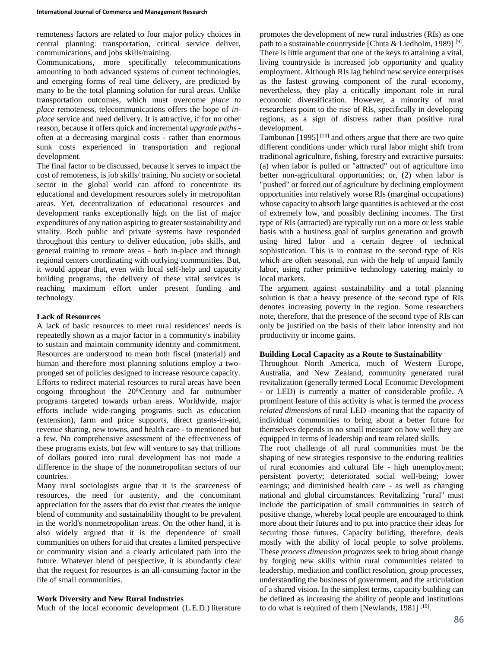remoteness factors are related to four major policy choices in central planning: transportation, critical service deliver, communications, and jobs skills/training.

Communications, more specifically telecommunications amounting to both advanced systems of current technologies, and emerging forms of real time delivery, are predicted by many to be the total planning solution for rural areas. Unlike transportation outcomes, which must overcome *place to place* remoteness, telecommunications offers the hope of *inplace* service and need delivery. It is attractive, if for no other reason, because it offers quick and incremental *upgrade paths* often at a decreasing marginal costs - rather than enormous sunk costs experienced in transportation and regional development.

The final factor to be discussed, because it serves to impact the cost of remoteness, is job skills/ training. No society or societal sector in the global world can afford to concentrate its educational and development resources solely in metropolitan areas. Yet, decentralization of educational resources and development ranks exceptionally high on the list of major expenditures of any nation aspiring to greater sustainability and vitality. Both public and private systems have responded throughout this century to deliver education, jobs skills, and general training to remote areas - both in-place and through regional centers coordinating with outlying communities. But, it would appear that, even with local self-help and capacity building programs, the delivery of these vital services is reaching maximum effort under present funding and technology.

## **Lack of Resources**

A lack of basic resources to meet rural residences' needs is repeatedly shown as a major factor in a community's inability to sustain and maintain community identity and commitment. Resources are understood to mean both fiscal (material) and human and therefore most planning solutions employ a twopronged set of policies designed to increase resource capacity. Efforts to redirect material resources to rural areas have been ongoing throughout the 20<sup>th</sup>Century and far outnumber programs targeted towards urban areas. Worldwide, major efforts include wide-ranging programs such as education (extension), farm and price supports, direct grants-in-aid, revenue sharing, new towns, and health care - to mentioned but a few. No comprehensive assessment of the effectiveness of these programs exists, but few will venture to say that trillions of dollars poured into rural development has not made a difference in the shape of the nonmetropolitan sectors of our countries.

Many rural sociologists argue that it is the scarceness of resources, the need for austerity, and the concomitant appreciation for the assets that do exist that creates the unique blend of community and sustainability thought to be prevalent in the world's nonmetropolitan areas. On the other hand, it is also widely argued that it is the dependence of small communities on others for aid that creates a limited perspective or community vision and a clearly articulated path into the future. Whatever blend of perspective, it is abundantly clear that the request for resources is an all-consuming factor in the life of small communities.

## **Work Diversity and New Rural Industries**

Much of the local economic development (L.E.D.) literature

promotes the development of new rural industries (RIs) as one path to a sustainable countryside [Chuta & Liedholm, 1989]<sup>[9]</sup>. There is little argument that one of the keys to attaining a vital, living countryside is increased job opportunity and quality employment. Although RIs lag behind new service enterprises as the fastest growing component of the rural economy, nevertheless, they play a critically important role in rural economic diversification. However, a minority of rural researchers point to the rise of RIs, specifically in developing regions, as a sign of distress rather than positive rural development.

Tambunan  $[1995]$ <sup>[20]</sup> and others argue that there are two quite different conditions under which rural labor might shift from traditional agriculture, fishing, forestry and extractive pursuits: (a) when labor is pulled or "attracted" out of agriculture into better non-agricultural opportunities; or, (2) when labor is "pushed" or forced out of agriculture by declining employment opportunities into relatively worse RIs (marginal occupations) whose capacity to absorb large quantities is achieved at the cost of extremely low, and possibly declining incomes. The first type of RIs (attracted) are typically run on a more or less stable basis with a business goal of surplus generation and growth using hired labor and a certain degree of technical sophistication. This is in contrast to the second type of RIs which are often seasonal, run with the help of unpaid family labor, using rather primitive technology catering mainly to local markets.

The argument against sustainability and a total planning solution is that a heavy presence of the second type of RIs denotes increasing poverty in the region. Some researchers note, therefore, that the presence of the second type of RIs can only be justified on the basis of their labor intensity and not productivity or income gains.

#### **Building Local Capacity as a Route to Sustainability**

Throughout North America, much of Western Europe, Australia, and New Zealand, community generated rural revitalization (generally termed Local Economic Development - or LED) is currently a matter of considerable profile. A prominent feature of this activity is what is termed the *process related dimensions* of rural LED -meaning that the capacity of individual communities to bring about a better future for themselves depends in no small measure on how well they are equipped in terms of leadership and team related skills.

The root challenge of all rural communities must be the shaping of new strategies responsive to the enduring realities of rural economies and cultural life - high unemployment; persistent poverty; deteriorated social well-being; lower earnings; and diminished health care - as well as changing national and global circumstances. Revitalizing "rural" must include the participation of small communities in search of positive change, whereby local people are encouraged to think more about their futures and to put into practice their ideas for securing those futures. Capacity building, therefore, deals mostly with the ability of local people to solve problems. These *process dimension programs* seek to bring about change by forging new skills within rural communities related to leadership, mediation and conflict resolution, group processes, understanding the business of government, and the articulation of a shared vision. In the simplest terms, capacity building can be defined as increasing the ability of people and institutions to do what is required of them [Newlands,  $1981$ ]<sup>[19]</sup>.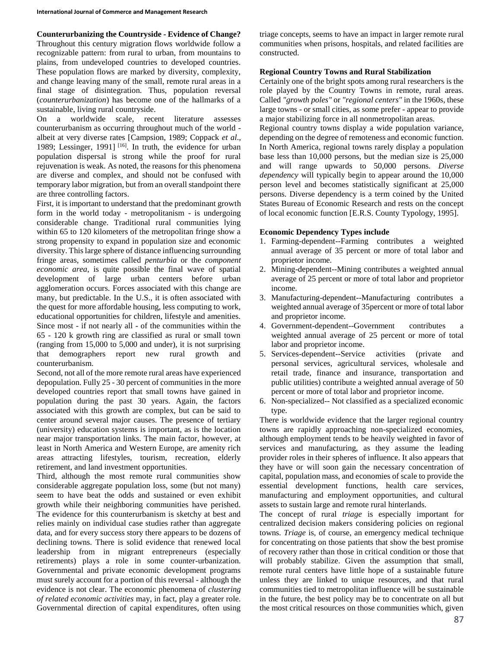# **Counterurbanizing the Countryside - Evidence of Change?**

Throughout this century migration flows worldwide follow a recognizable pattern: from rural to urban, from mountains to plains, from undeveloped countries to developed countries. These population flows are marked by diversity, complexity, and change leaving many of the small, remote rural areas in a final stage of disintegration. Thus, population reversal (*counterurbanization*) has become one of the hallmarks of a sustainable, living rural countryside.

On a worldwide scale, recent literature assesses counterurbanism as occurring throughout much of the world albeit at very diverse rates [Campsion, 1989; Coppack *et al*., 1989; Lessinger, 1991]<sup>[16]</sup>. In truth, the evidence for urban population dispersal is strong while the proof for rural rejuvenation is weak. As noted, the reasons for this phenomena are diverse and complex, and should not be confused with temporary labor migration, but from an overall standpoint there are three controlling factors.

First, it is important to understand that the predominant growth form in the world today - metropolitanism - is undergoing considerable change. Traditional rural communities lying within 65 to 120 kilometers of the metropolitan fringe show a strong propensity to expand in population size and economic diversity. This large sphere of distance influencing surrounding fringe areas, sometimes called *penturbia* or the *component economic area*, is quite possible the final wave of spatial development of large urban centers before urban agglomeration occurs. Forces associated with this change are many, but predictable. In the U.S., it is often associated with the quest for more affordable housing, less computing to work, educational opportunities for children, lifestyle and amenities. Since most - if not nearly all - of the communities within the 65 - 120 k growth ring are classified as rural or small town (ranging from 15,000 to 5,000 and under), it is not surprising that demographers report new rural growth and counterurbanism.

Second, not all of the more remote rural areas have experienced depopulation. Fully 25 - 30 percent of communities in the more developed countries report that small towns have gained in population during the past 30 years. Again, the factors associated with this growth are complex, but can be said to center around several major causes. The presence of tertiary (university) education systems is important, as is the location near major transportation links. The main factor, however, at least in North America and Western Europe, are amenity rich areas attracting lifestyles, tourism, recreation, elderly retirement, and land investment opportunities.

Third, although the most remote rural communities show considerable aggregate population loss, some (but not many) seem to have beat the odds and sustained or even exhibit growth while their neighboring communities have perished. The evidence for this counterurbanism is sketchy at best and relies mainly on individual case studies rather than aggregate data, and for every success story there appears to be dozens of declining towns. There is solid evidence that renewed local leadership from in migrant entrepreneurs (especially retirements) plays a role in some counter-urbanization. Governmental and private economic development programs must surely account for a portion of this reversal - although the evidence is not clear. The economic phenomena of *clustering of related economic activities* may, in fact, play a greater role. Governmental direction of capital expenditures, often using triage concepts, seems to have an impact in larger remote rural communities when prisons, hospitals, and related facilities are constructed.

## **Regional Country Towns and Rural Stabilization**

Certainly one of the bright spots among rural researchers is the role played by the Country Towns in remote, rural areas. Called *"growth poles"* or *"regional centers"* in the 1960s, these large towns - or small cities, as some prefer - appear to provide a major stabilizing force in all nonmetropolitan areas.

Regional country towns display a wide population variance, depending on the degree of remoteness and economic function. In North America, regional towns rarely display a population base less than 10,000 persons, but the median size is 25,000 and will range upwards to 50,000 persons. *Diverse dependency* will typically begin to appear around the 10,000 person level and becomes statistically significant at 25,000 persons. Diverse dependency is a term coined by the United States Bureau of Economic Research and rests on the concept of local economic function [E.R.S. County Typology, 1995].

### **Economic Dependency Types include**

- 1. Farming-dependent--Farming contributes a weighted annual average of 35 percent or more of total labor and proprietor income.
- 2. Mining-dependent--Mining contributes a weighted annual average of 25 percent or more of total labor and proprietor income.
- 3. Manufacturing-dependent--Manufacturing contributes a weighted annual average of 35percent or more of total labor and proprietor income.
- 4. Government-dependent--Government contributes weighted annual average of 25 percent or more of total labor and proprietor income.
- 5. Services-dependent--Service activities (private and personal services, agricultural services, wholesale and retail trade, finance and insurance, transportation and public utilities) contribute a weighted annual average of 50 percent or more of total labor and proprietor income.
- 6. Non-specialized-- Not classified as a specialized economic type.

There is worldwide evidence that the larger regional country towns are rapidly approaching non-specialized economies, although employment tends to be heavily weighted in favor of services and manufacturing, as they assume the leading provider roles in their spheres of influence. It also appears that they have or will soon gain the necessary concentration of capital, population mass, and economies of scale to provide the essential development functions, health care services, manufacturing and employment opportunities, and cultural assets to sustain large and remote rural hinterlands.

The concept of rural *triage* is especially important for centralized decision makers considering policies on regional towns. *Triage* is, of course, an emergency medical technique for concentrating on those patients that show the best promise of recovery rather than those in critical condition or those that will probably stabilize. Given the assumption that small, remote rural centers have little hope of a sustainable future unless they are linked to unique resources, and that rural communities tied to metropolitan influence will be sustainable in the future, the best policy may be to concentrate on all but the most critical resources on those communities which, given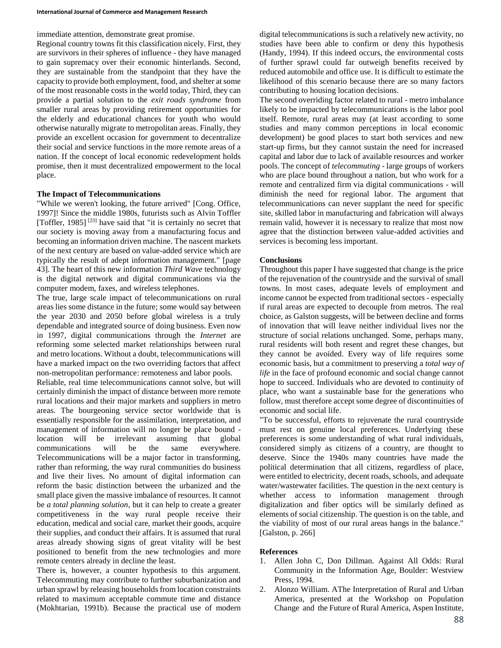immediate attention, demonstrate great promise.

Regional country towns fit this classification nicely. First, they are survivors in their spheres of influence - they have managed to gain supremacy over their economic hinterlands. Second, they are sustainable from the standpoint that they have the capacity to provide both employment, food, and shelter at some of the most reasonable costs in the world today, Third, they can provide a partial solution to the *exit roads syndrome* from smaller rural areas by providing retirement opportunities for the elderly and educational chances for youth who would otherwise naturally migrate to metropolitan areas. Finally, they provide an excellent occasion for government to decentralize their social and service functions in the more remote areas of a nation. If the concept of local economic redevelopment holds promise, then it must decentralized empowerment to the local place.

### **The Impact of Telecommunications**

"While we weren't looking, the future arrived" [Cong. Office, 1997]! Since the middle 1980s, futurists such as Alvin Toffler [Toffler, 1985]<sup>[23]</sup> have said that "it is certainly no secret that our society is moving away from a manufacturing focus and becoming an information driven machine. The nascent markets of the next century are based on value-added service which are typically the result of adept information management." [page 43]. The heart of this new information *Third Wave* technology is the digital network and digital communications via the computer modem, faxes, and wireless telephones.

The true, large scale impact of telecommunications on rural areas lies some distance in the future; some would say between the year 2030 and 2050 before global wireless is a truly dependable and integrated source of doing business. Even now in 1997, digital communications through the *Internet* are reforming some selected market relationships between rural and metro locations. Without a doubt, telecommunications will have a marked impact on the two overriding factors that affect non-metropolitan performance: remoteness and labor pools.

Reliable, real time telecommunications cannot solve, but will certainly diminish the impact of distance between more remote rural locations and their major markets and suppliers in metro areas. The bourgeoning service sector worldwide that is essentially responsible for the assimilation, interpretation, and management of information will no longer be place bound location will be irrelevant assuming that global communications will be the same everywhere. Telecommunications will be a major factor in transforming, rather than reforming, the way rural communities do business and live their lives. No amount of digital information can reform the basic distinction between the urbanized and the small place given the massive imbalance of resources. It cannot be *a total planning solution*, but it can help to create a greater competitiveness in the way rural people receive their education, medical and social care, market their goods, acquire their supplies, and conduct their affairs. It is assumed that rural areas already showing signs of great vitality will be best positioned to benefit from the new technologies and more remote centers already in decline the least.

There is, however, a counter hypothesis to this argument. Telecommuting may contribute to further suburbanization and urban sprawl by releasing households from location constraints related to maximum acceptable commute time and distance (Mokhtarian, 1991b). Because the practical use of modern digital telecommunications is such a relatively new activity, no studies have been able to confirm or deny this hypothesis (Handy, 1994). If this indeed occurs, the environmental costs of further sprawl could far outweigh benefits received by reduced automobile and office use. It is difficult to estimate the likelihood of this scenario because there are so many factors contributing to housing location decisions.

The second overriding factor related to rural - metro imbalance likely to be impacted by telecommunications is the labor pool itself. Remote, rural areas may (at least according to some studies and many common perceptions in local economic development) be good places to start both services and new start-up firms, but they cannot sustain the need for increased capital and labor due to lack of available resources and worker pools. The concept of *telecommuting* - large groups of workers who are place bound throughout a nation, but who work for a remote and centralized firm via digital communications - will diminish the need for regional labor. The argument that telecommunications can never supplant the need for specific site, skilled labor in manufacturing and fabrication will always remain valid, however it is necessary to realize that most now agree that the distinction between value-added activities and services is becoming less important.

### **Conclusions**

Throughout this paper I have suggested that change is the price of the rejuvenation of the countryside and the survival of small towns. In most cases, adequate levels of employment and income cannot be expected from traditional sectors - especially if rural areas are expected to decouple from metros. The real choice, as Galston suggests, will be between decline and forms of innovation that will leave neither individual lives nor the structure of social relations unchanged. Some, perhaps many, rural residents will both resent and regret these changes, but they cannot be avoided. Every way of life requires some economic basis, but a commitment to preserving a *total way of life* in the face of profound economic and social change cannot hope to succeed. Individuals who are devoted to continuity of place, who want a sustainable base for the generations who follow, must therefore accept some degree of discontinuities of economic and social life.

"To be successful, efforts to rejuvenate the rural countryside must rest on genuine local preferences. Underlying these preferences is some understanding of what rural individuals, considered simply as citizens of a country, are thought to deserve. Since the 1940s many countries have made the political determination that all citizens, regardless of place, were entitled to electricity, decent roads, schools, and adequate water/wastewater facilities. The question in the next century is whether access to information management through digitalization and fiber optics will be similarly defined as elements of social citizenship. The question is on the table, and the viability of most of our rural areas hangs in the balance." [Galston, p. 266]

#### **References**

- 1. Allen John C, Don Dillman. Against All Odds: Rural Community in the Information Age, Boulder: Westview Press, 1994.
- 2. Alonzo William. AThe Interpretation of Rural and Urban America, presented at the Workshop on Population Change and the Future of Rural America, Aspen Institute,